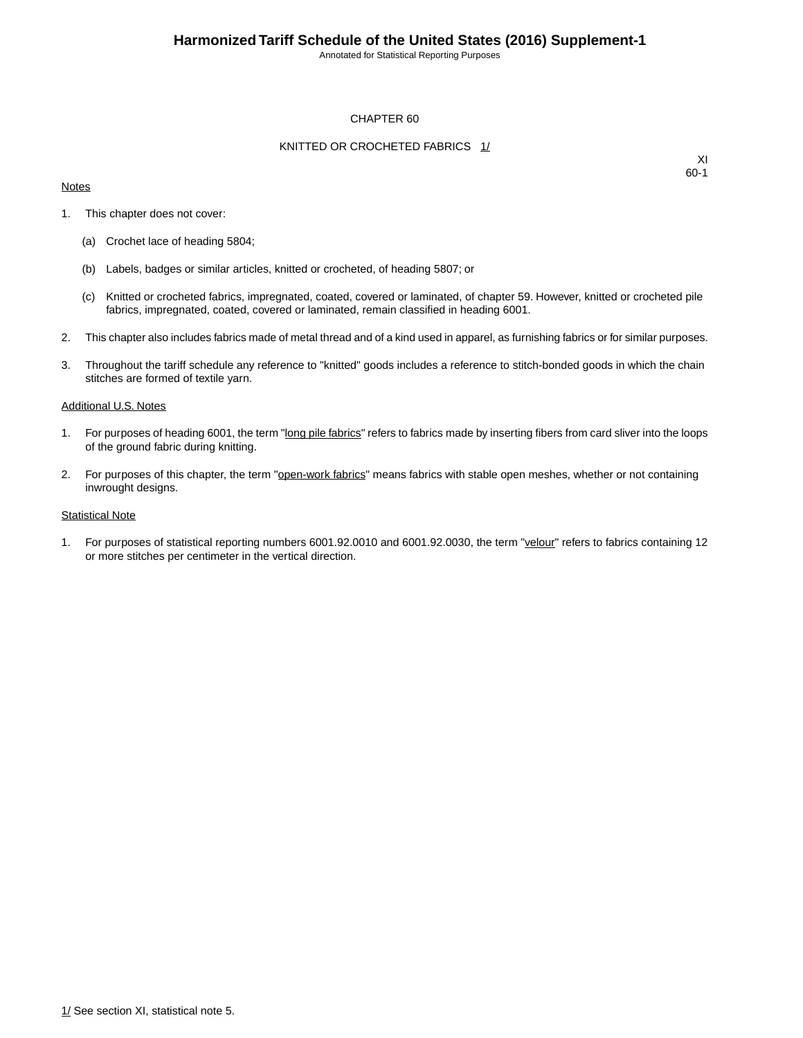Annotated for Statistical Reporting Purposes

#### CHAPTER 60

#### KNITTED OR CROCHETED FABRICS 1/

#### **Notes**

XI 60-1

- 1. This chapter does not cover:
	- (a) Crochet lace of heading 5804;
	- (b) Labels, badges or similar articles, knitted or crocheted, of heading 5807; or
	- (c) Knitted or crocheted fabrics, impregnated, coated, covered or laminated, of chapter 59. However, knitted or crocheted pile fabrics, impregnated, coated, covered or laminated, remain classified in heading 6001.
- 2. This chapter also includes fabrics made of metal thread and of a kind used in apparel, as furnishing fabrics or for similar purposes.
- 3. Throughout the tariff schedule any reference to "knitted" goods includes a reference to stitch-bonded goods in which the chain stitches are formed of textile yarn.

#### Additional U.S. Notes

- 1. For purposes of heading 6001, the term "long pile fabrics" refers to fabrics made by inserting fibers from card sliver into the loops of the ground fabric during knitting.
- 2. For purposes of this chapter, the term "open-work fabrics" means fabrics with stable open meshes, whether or not containing inwrought designs.

#### **Statistical Note**

1. For purposes of statistical reporting numbers 6001.92.0010 and 6001.92.0030, the term "velour" refers to fabrics containing 12 or more stitches per centimeter in the vertical direction.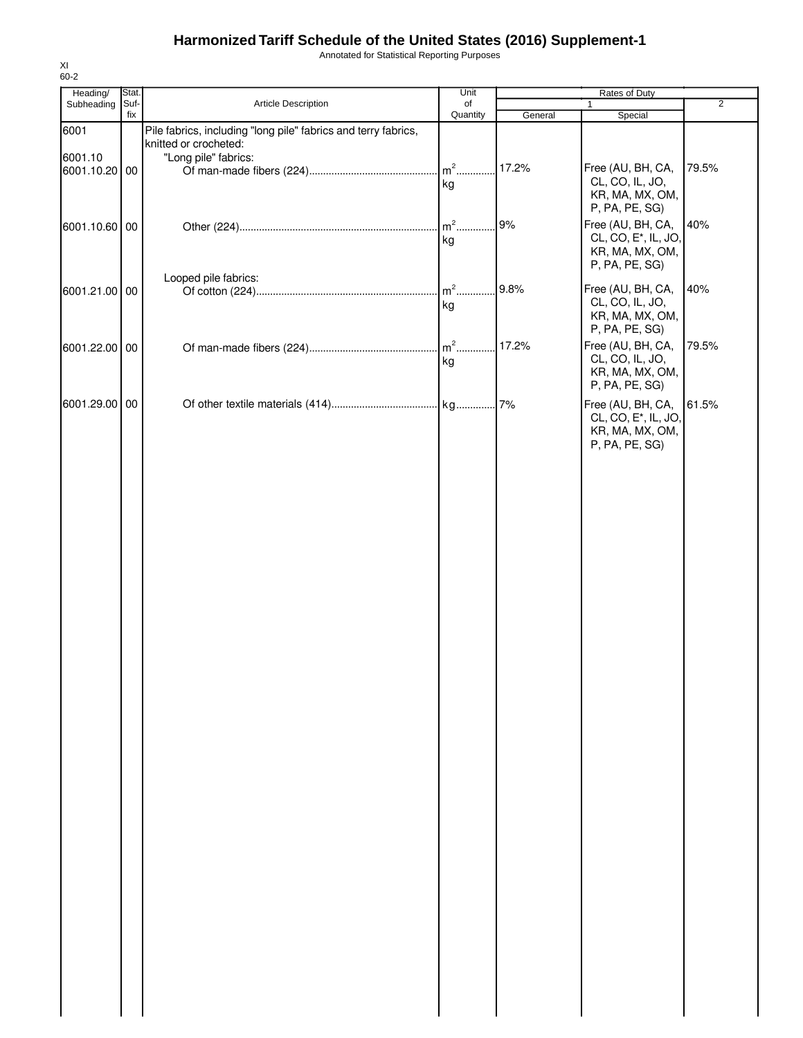Annotated for Statistical Reporting Purposes

| 60-2                     |             |                                                                                         |                |         |                                                                                            |                |
|--------------------------|-------------|-----------------------------------------------------------------------------------------|----------------|---------|--------------------------------------------------------------------------------------------|----------------|
| Heading/                 | Stat.       |                                                                                         | Unit           |         | Rates of Duty                                                                              |                |
| Subheading               | Suf-<br>fix | Article Description                                                                     | of<br>Quantity | General | 1<br>Special                                                                               | $\overline{2}$ |
| 6001                     |             | Pile fabrics, including "long pile" fabrics and terry fabrics,<br>knitted or crocheted: |                |         |                                                                                            |                |
| 6001.10<br>6001.10.20 00 |             | "Long pile" fabrics:                                                                    | $m2$ .<br>kg   | 17.2%   | Free (AU, BH, CA,<br>CL, CO, IL, JO,<br>KR, MA, MX, OM,<br>P, PA, PE, SG)                  | 79.5%          |
| 6001.10.60 00            |             |                                                                                         | $m2$ .<br>kg   | 9%      | Free (AU, BH, CA,<br>CL, CO, E <sup>*</sup> , IL, JO,<br>KR, MA, MX, OM,<br>P, PA, PE, SG) | 40%            |
| 6001.21.00 00            |             | Looped pile fabrics:                                                                    | $m2$ .<br>kg   | 9.8%    | Free (AU, BH, CA,<br>CL, CO, IL, JO,<br>KR, MA, MX, OM,<br>P, PA, PE, SG)                  | 40%            |
| 6001.22.00 00            |             |                                                                                         | $m2$<br>kg     | 17.2%   | Free (AU, BH, CA,<br>CL, CO, IL, JO,<br>KR, MA, MX, OM,<br>P, PA, PE, SG)                  | 79.5%          |
| 6001.29.00 00            |             |                                                                                         |                |         | Free (AU, BH, CA,<br>CL, CO, E <sup>*</sup> , IL, JO,<br>KR, MA, MX, OM,<br>P, PA, PE, SG) | 61.5%          |
|                          |             |                                                                                         |                |         |                                                                                            |                |
|                          |             |                                                                                         |                |         |                                                                                            |                |
|                          |             |                                                                                         |                |         |                                                                                            |                |
|                          |             |                                                                                         |                |         |                                                                                            |                |
|                          |             |                                                                                         |                |         |                                                                                            |                |
|                          |             |                                                                                         |                |         |                                                                                            |                |
|                          |             |                                                                                         |                |         |                                                                                            |                |
|                          |             |                                                                                         |                |         |                                                                                            |                |
|                          |             |                                                                                         |                |         |                                                                                            |                |

XI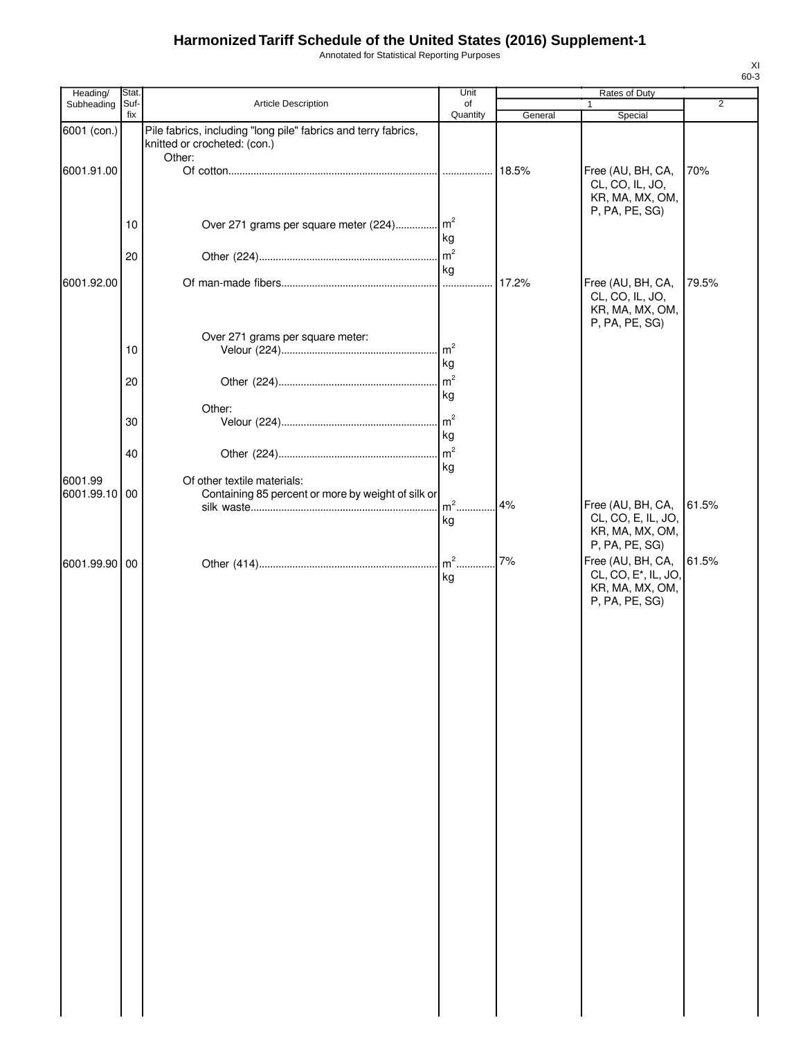Annotated for Statistical Reporting Purposes

| Heading/      | Stat.       |                                                                                                | Unit                 |         | Rates of Duty                                                                                                |                |
|---------------|-------------|------------------------------------------------------------------------------------------------|----------------------|---------|--------------------------------------------------------------------------------------------------------------|----------------|
| Subheading    | Suf-<br>fix | <b>Article Description</b>                                                                     | of<br>Quantity       | General | Special                                                                                                      | $\overline{2}$ |
| 6001 (con.)   |             | Pile fabrics, including "long pile" fabrics and terry fabrics,<br>knitted or crocheted: (con.) |                      |         |                                                                                                              |                |
| 6001.91.00    |             | Other:                                                                                         |                      | 18.5%   | Free (AU, BH, CA,<br>CL, CO, IL, JO,<br>KR, MA, MX, OM,                                                      | 70%            |
|               | 10          | Over 271 grams per square meter (224) m <sup>2</sup>                                           | kg                   |         | P, PA, PE, SG)                                                                                               |                |
|               | 20          |                                                                                                | kg                   |         |                                                                                                              |                |
| 6001.92.00    |             |                                                                                                |                      | 17.2%   | Free (AU, BH, CA,<br>CL, CO, IL, JO,<br>KR, MA, MX, OM,<br>P, PA, PE, SG)                                    | 79.5%          |
|               | 10          | Over 271 grams per square meter:                                                               | m <sup>2</sup><br>kg |         |                                                                                                              |                |
|               | 20          |                                                                                                | $\rm{m}^2$<br>kg     |         |                                                                                                              |                |
|               | 30          | Other:                                                                                         | m <sup>2</sup>       |         |                                                                                                              |                |
|               | 40          |                                                                                                | kg                   |         |                                                                                                              |                |
| 6001.99       |             | Of other textile materials:                                                                    | kg                   |         |                                                                                                              |                |
| 6001.99.10 00 |             | Containing 85 percent or more by weight of silk or                                             | $m2$ .<br>kg         | 4%      | Free (AU, BH, CA,<br>CL, CO, E, IL, JO,<br>KR, MA, MX, OM,                                                   | 61.5%          |
| 6001.99.90 00 |             |                                                                                                | kg                   | 7%      | P, PA, PE, SG)<br>Free (AU, BH, CA,<br>CL, CO, E <sup>*</sup> , IL, JO,<br>KR, MA, MX, OM,<br>P, PA, PE, SG) | 61.5%          |
|               |             |                                                                                                |                      |         |                                                                                                              |                |
|               |             |                                                                                                |                      |         |                                                                                                              |                |
|               |             |                                                                                                |                      |         |                                                                                                              |                |
|               |             |                                                                                                |                      |         |                                                                                                              |                |
|               |             |                                                                                                |                      |         |                                                                                                              |                |
|               |             |                                                                                                |                      |         |                                                                                                              |                |
|               |             |                                                                                                |                      |         |                                                                                                              |                |
|               |             |                                                                                                |                      |         |                                                                                                              |                |
|               |             |                                                                                                |                      |         |                                                                                                              |                |
|               |             |                                                                                                |                      |         |                                                                                                              |                |
|               |             |                                                                                                |                      |         |                                                                                                              |                |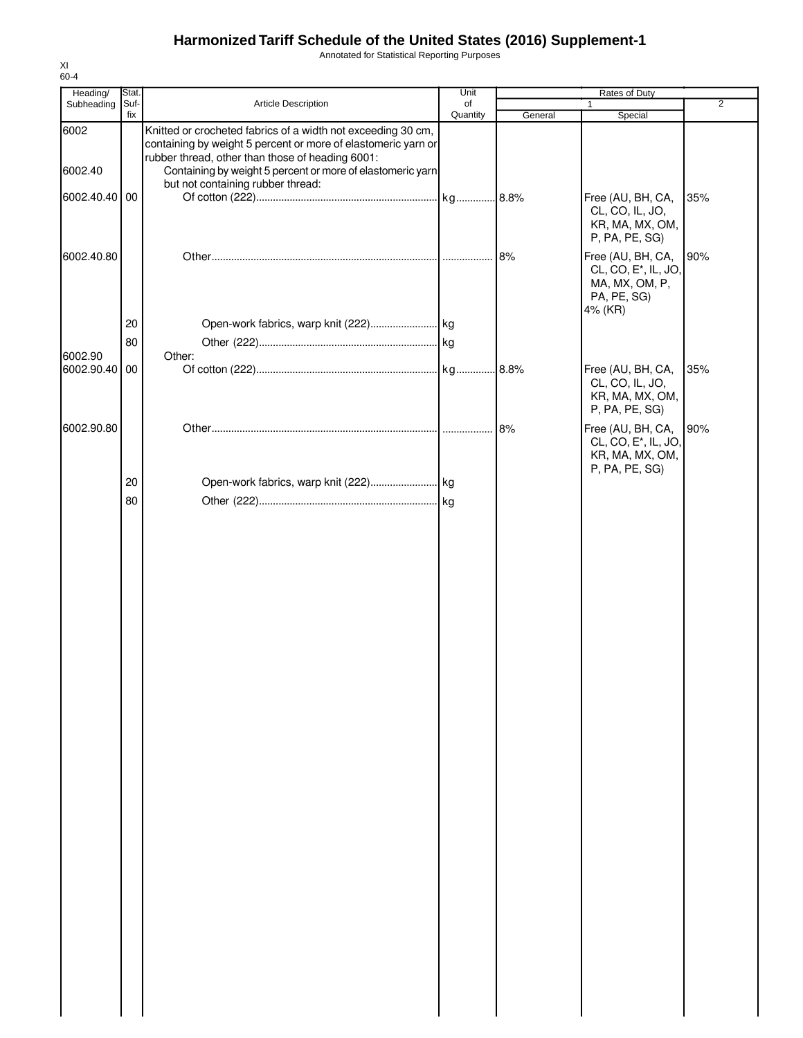Annotated for Statistical Reporting Purposes

| Heading/      | Stat. |                                                                                                                               | Unit     |         | Rates of Duty                                                                                     |                |
|---------------|-------|-------------------------------------------------------------------------------------------------------------------------------|----------|---------|---------------------------------------------------------------------------------------------------|----------------|
| Subheading    | Suf-  | Article Description                                                                                                           | of       |         | 1                                                                                                 | $\overline{2}$ |
| 6002          | fix   | Knitted or crocheted fabrics of a width not exceeding 30 cm,<br>containing by weight 5 percent or more of elastomeric yarn or | Quantity | General | Special                                                                                           |                |
| 6002.40       |       | rubber thread, other than those of heading 6001:<br>Containing by weight 5 percent or more of elastomeric yarn                |          |         |                                                                                                   |                |
| 6002.40.40 00 |       | but not containing rubber thread:                                                                                             |          |         | Free (AU, BH, CA,<br>CL, CO, IL, JO,<br>KR, MA, MX, OM,<br>P, PA, PE, SG)                         | 35%            |
| 6002.40.80    |       |                                                                                                                               |          | 8%      | Free (AU, BH, CA,<br>CL, CO, E <sup>*</sup> , IL, JO,<br>MA, MX, OM, P,<br>PA, PE, SG)<br>4% (KR) | 90%            |
|               | 20    |                                                                                                                               |          |         |                                                                                                   |                |
| 6002.90       | 80    | Other:                                                                                                                        |          |         |                                                                                                   |                |
| 6002.90.40 00 |       |                                                                                                                               |          | .8.8%   | Free (AU, BH, CA,<br>CL, CO, IL, JO,<br>KR, MA, MX, OM,<br>P, PA, PE, SG)                         | 35%            |
| 6002.90.80    |       |                                                                                                                               |          | 8%      | Free (AU, BH, CA,<br>CL, CO, E <sup>*</sup> , IL, JO,<br>KR, MA, MX, OM,<br>P, PA, PE, SG)        | 90%            |
|               | 20    |                                                                                                                               |          |         |                                                                                                   |                |
|               | 80    |                                                                                                                               |          |         |                                                                                                   |                |
|               |       |                                                                                                                               |          |         |                                                                                                   |                |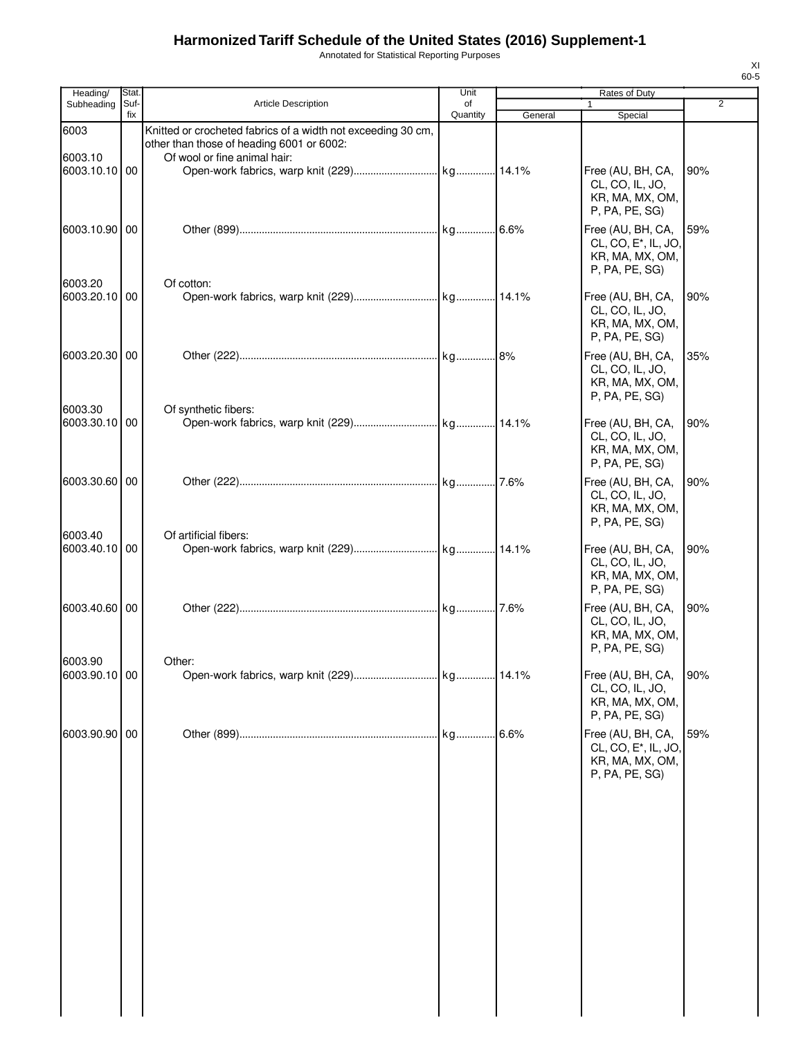Annotated for Statistical Reporting Purposes

| Heading/                 | Stat.       |                                                                                                           | Unit           |         | Rates of Duty                                                                               |     |
|--------------------------|-------------|-----------------------------------------------------------------------------------------------------------|----------------|---------|---------------------------------------------------------------------------------------------|-----|
| Subheading               | Suf-<br>fix | <b>Article Description</b>                                                                                | of<br>Quantity | General | Special                                                                                     | 2   |
| 6003                     |             | Knitted or crocheted fabrics of a width not exceeding 30 cm,<br>other than those of heading 6001 or 6002: |                |         |                                                                                             |     |
| 6003.10                  |             | Of wool or fine animal hair:                                                                              |                |         |                                                                                             |     |
| 6003.10.10 00            |             |                                                                                                           |                |         | Free (AU, BH, CA,<br>CL, CO, IL, JO,<br>KR, MA, MX, OM,<br>P, PA, PE, SG)                   | 90% |
| 6003.10.90 00            |             |                                                                                                           |                |         | Free (AU, BH, CA,<br>CL, CO, E <sup>*</sup> , IL, JO,<br>KR, MA, MX, OM,<br>P, PA, PE, SG)  | 59% |
| 6003.20<br>6003.20.10 00 |             | Of cotton:                                                                                                |                |         | Free (AU, BH, CA,<br>CL, CO, IL, JO,<br>KR, MA, MX, OM,<br>P, PA, PE, SG)                   | 90% |
| 6003.20.30 00            |             |                                                                                                           |                |         | Free (AU, BH, CA,<br>CL, CO, IL, JO,<br>KR, MA, MX, OM,<br>P, PA, PE, SG)                   | 35% |
| 6003.30<br>6003.30.10 00 |             | Of synthetic fibers:                                                                                      |                |         | Free (AU, BH, CA,<br>CL, CO, IL, JO,<br>KR, MA, MX, OM,                                     | 90% |
| 6003.30.60 00            |             |                                                                                                           |                |         | P, PA, PE, SG)<br>Free (AU, BH, CA,<br>CL, CO, IL, JO,<br>KR, MA, MX, OM,<br>P, PA, PE, SG) | 90% |
| 6003.40<br>6003.40.10 00 |             | Of artificial fibers:                                                                                     |                |         | Free (AU, BH, CA,<br>CL, CO, IL, JO,<br>KR, MA, MX, OM,<br>P, PA, PE, SG)                   | 90% |
| 6003.40.60 00            |             |                                                                                                           |                |         | Free (AU, BH, CA,<br>CL, CO, IL, JO,<br>KR, MA, MX, OM,<br>P, PA, PE, SG)                   | 90% |
| 6003.90                  |             | Other:                                                                                                    |                |         |                                                                                             |     |
| 6003.90.10 00            |             |                                                                                                           |                |         | Free (AU, BH, CA,<br>CL, CO, IL, JO,<br>KR, MA, MX, OM,<br>P, PA, PE, SG)                   | 90% |
| 6003.90.90 00            |             |                                                                                                           | kg             | .6.6%   | Free (AU, BH, CA,<br>CL, CO, E <sup>*</sup> , IL, JO,<br>KR, MA, MX, OM,<br>P, PA, PE, SG)  | 59% |
|                          |             |                                                                                                           |                |         |                                                                                             |     |
|                          |             |                                                                                                           |                |         |                                                                                             |     |
|                          |             |                                                                                                           |                |         |                                                                                             |     |
|                          |             |                                                                                                           |                |         |                                                                                             |     |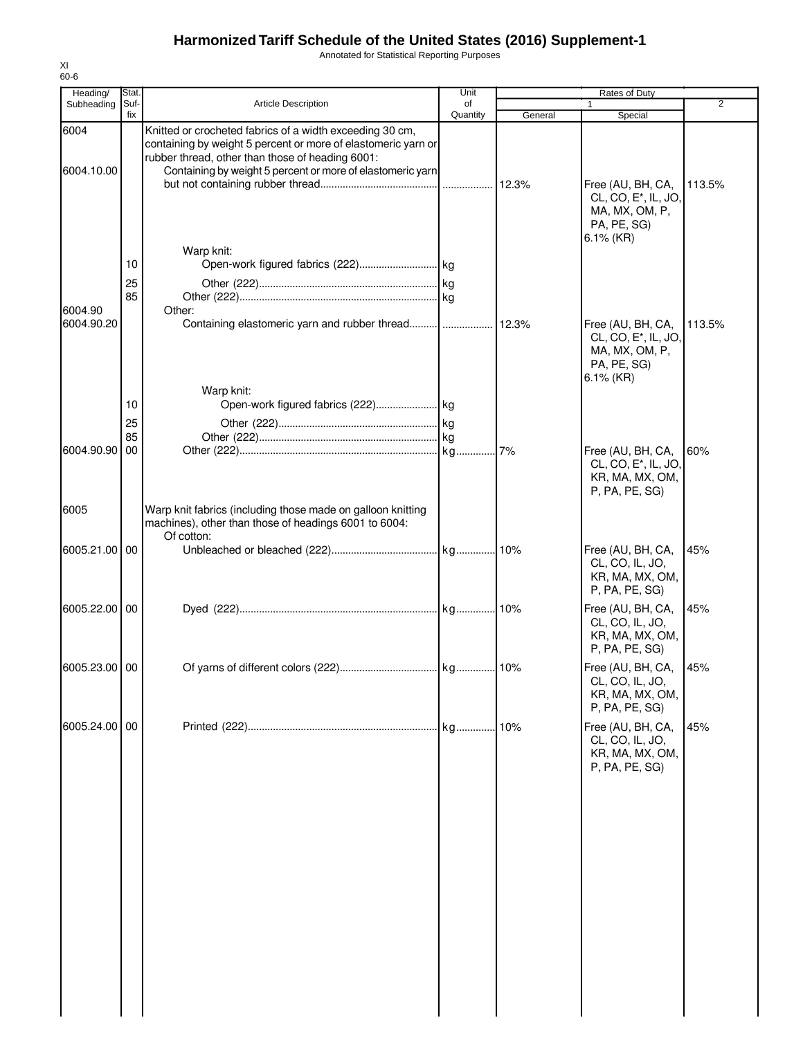Annotated for Statistical Reporting Purposes

| Heading/              | <b>Stat</b>          |                                                                                                                                                                                                                                             | Unit           |         | Rates of Duty                                                                                                                         |                |
|-----------------------|----------------------|---------------------------------------------------------------------------------------------------------------------------------------------------------------------------------------------------------------------------------------------|----------------|---------|---------------------------------------------------------------------------------------------------------------------------------------|----------------|
| Subheading            | Suf-<br>fix          | <b>Article Description</b>                                                                                                                                                                                                                  | of<br>Quantity | General | 1<br>Special                                                                                                                          | $\overline{2}$ |
| 6004<br>6004.10.00    |                      | Knitted or crocheted fabrics of a width exceeding 30 cm,<br>containing by weight 5 percent or more of elastomeric yarn or<br>rubber thread, other than those of heading 6001:<br>Containing by weight 5 percent or more of elastomeric yarn |                |         | Free (AU, BH, CA,<br>CL, CO, E <sup>*</sup> , IL, JO,<br>MA, MX, OM, P,                                                               | 113.5%         |
| 6004.90<br>6004.90.20 | 10<br>25<br>85       | Warp knit:<br>Other:                                                                                                                                                                                                                        |                |         | PA, PE, SG)<br>$6.1\%$ (KR)<br>Free (AU, BH, CA,<br>CL, CO, E <sup>*</sup> , IL, JO,<br>MA, MX, OM, P,<br>PA, PE, SG)<br>$6.1\%$ (KR) | 113.5%         |
| 6004.90.90            | 10<br>25<br>85<br>00 | Warp knit:                                                                                                                                                                                                                                  |                |         | Free (AU, BH, CA,<br>CL, CO, E <sup>*</sup> , IL, JO,<br>KR, MA, MX, OM,<br>P, PA, PE, SG)                                            | 60%            |
| 6005                  |                      | Warp knit fabrics (including those made on galloon knitting<br>machines), other than those of headings 6001 to 6004:<br>Of cotton:                                                                                                          |                |         |                                                                                                                                       |                |
| 6005.21.00 00         |                      |                                                                                                                                                                                                                                             |                |         | Free (AU, BH, CA,<br>CL, CO, IL, JO,<br>KR, MA, MX, OM,<br>P, PA, PE, SG)                                                             | 45%            |
| 6005.22.00 00         |                      |                                                                                                                                                                                                                                             |                |         | Free (AU, BH, CA,<br>CL, CO, IL, JO,<br>KR, MA, MX, OM,<br>P, PA, PE, SG)                                                             | 45%            |
| 6005.23.00 00         |                      |                                                                                                                                                                                                                                             |                |         | Free (AU, BH, CA, 145%<br>CL, CO, IL, JO,<br>KR, MA, MX, OM,<br>P, PA, PE, SG)                                                        |                |
| 6005.24.00 00         |                      |                                                                                                                                                                                                                                             |                |         | Free (AU, BH, CA,<br>CL, CO, IL, JO,<br>KR, MA, MX, OM,<br>P, PA, PE, SG)                                                             | 45%            |
|                       |                      |                                                                                                                                                                                                                                             |                |         |                                                                                                                                       |                |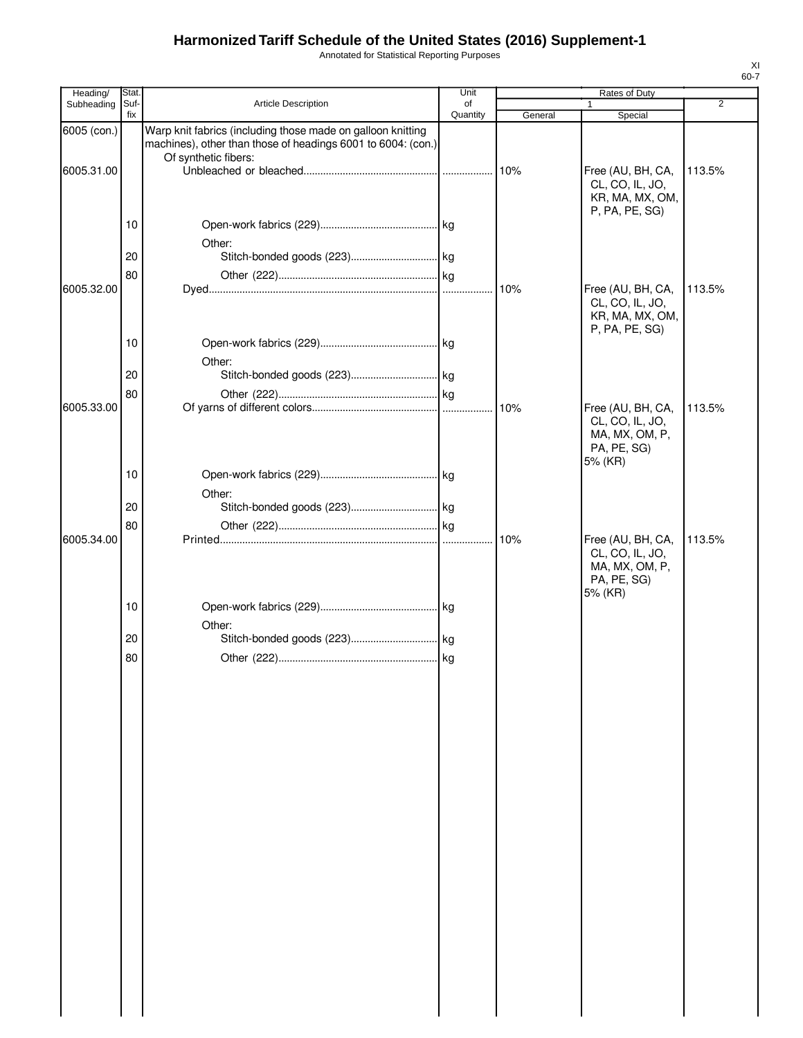Annotated for Statistical Reporting Purposes

| Heading/    | Stat.       |                                                                                                                                                     | Unit           |         | Rates of Duty                                                                    |                |
|-------------|-------------|-----------------------------------------------------------------------------------------------------------------------------------------------------|----------------|---------|----------------------------------------------------------------------------------|----------------|
| Subheading  | Suf-<br>fix | Article Description                                                                                                                                 | of<br>Quantity | General | Special                                                                          | $\overline{2}$ |
| 6005 (con.) |             | Warp knit fabrics (including those made on galloon knitting<br>machines), other than those of headings 6001 to 6004: (con.)<br>Of synthetic fibers: |                |         |                                                                                  |                |
| 6005.31.00  |             |                                                                                                                                                     |                | 10%     | Free (AU, BH, CA,<br>CL, CO, IL, JO,<br>KR, MA, MX, OM,<br>P, PA, PE, SG)        | 113.5%         |
|             | 10          | Other:                                                                                                                                              |                |         |                                                                                  |                |
|             | 20          |                                                                                                                                                     |                |         |                                                                                  |                |
| 6005.32.00  | 80          |                                                                                                                                                     |                | 10%     | Free (AU, BH, CA,<br>CL, CO, IL, JO,<br>KR, MA, MX, OM,<br>P, PA, PE, SG)        | 113.5%         |
|             | 10          | Other:                                                                                                                                              |                |         |                                                                                  |                |
|             | 20          |                                                                                                                                                     |                |         |                                                                                  |                |
| 6005.33.00  | 80          |                                                                                                                                                     |                | 10%     | Free (AU, BH, CA,<br>CL, CO, IL, JO,<br>MA, MX, OM, P,<br>PA, PE, SG)<br>5% (KR) | 113.5%         |
|             | 10          | Other:                                                                                                                                              |                |         |                                                                                  |                |
|             | 20          |                                                                                                                                                     |                |         |                                                                                  |                |
| 6005.34.00  | 80          |                                                                                                                                                     | .              | 10%     | Free (AU, BH, CA,<br>CL, CO, IL, JO,<br>MA, MX, OM, P,<br>PA, PE, SG)<br>5% (KR) | 113.5%         |
|             | 10          | Other:                                                                                                                                              |                |         |                                                                                  |                |
|             | 20          |                                                                                                                                                     |                |         |                                                                                  |                |
|             | 80          |                                                                                                                                                     |                |         |                                                                                  |                |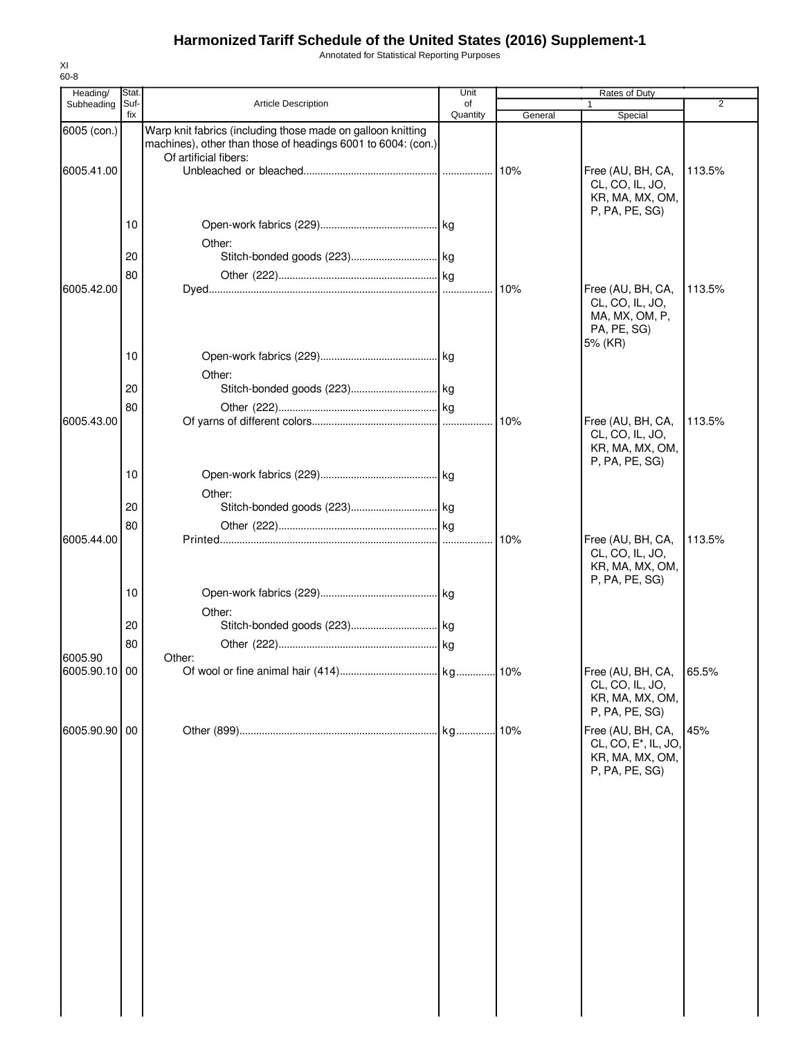Annotated for Statistical Reporting Purposes

| Heading/                 | Stat        |                                                                                                                             | Unit           |         | Rates of Duty                                                                    |                |
|--------------------------|-------------|-----------------------------------------------------------------------------------------------------------------------------|----------------|---------|----------------------------------------------------------------------------------|----------------|
| Subheading               | Suf-<br>fix | <b>Article Description</b>                                                                                                  | of<br>Quantity | General | $\mathbf{1}$<br>Special                                                          | $\overline{2}$ |
| 6005 (con.)              |             | Warp knit fabrics (including those made on galloon knitting<br>machines), other than those of headings 6001 to 6004: (con.) |                |         |                                                                                  |                |
| 6005.41.00               |             | Of artificial fibers:                                                                                                       |                | 10%     | Free (AU, BH, CA,<br>CL, CO, IL, JO,<br>KR, MA, MX, OM,                          | 113.5%         |
|                          | 10          | Other:                                                                                                                      |                |         | P, PA, PE, SG                                                                    |                |
|                          | 20          |                                                                                                                             |                |         |                                                                                  |                |
| 6005.42.00               | 80          |                                                                                                                             |                | 10%     | Free (AU, BH, CA,<br>CL, CO, IL, JO,<br>MA, MX, OM, P,<br>PA, PE, SG)<br>5% (KR) | 113.5%         |
|                          | 10          | Other:                                                                                                                      |                |         |                                                                                  |                |
|                          | 20          |                                                                                                                             |                |         |                                                                                  |                |
| 6005.43.00               | 80          |                                                                                                                             |                | 10%     | Free (AU, BH, CA,<br>CL, CO, IL, JO,<br>KR, MA, MX, OM,                          | 113.5%         |
|                          | 10          | Other:                                                                                                                      |                |         | P, PA, PE, SG)                                                                   |                |
|                          | 20          |                                                                                                                             |                |         |                                                                                  |                |
| 6005.44.00               | 80          |                                                                                                                             |                | 10%     | Free (AU, BH, CA,<br>CL, CO, IL, JO,<br>KR, MA, MX, OM,<br>P, PA, PE, SG)        | 113.5%         |
|                          | 10          | Other:                                                                                                                      |                |         |                                                                                  |                |
|                          | 20          |                                                                                                                             |                |         |                                                                                  |                |
|                          | 80          |                                                                                                                             |                |         |                                                                                  |                |
| 6005.90<br>6005.90.10 00 |             | Other:                                                                                                                      |                |         | Free (AU, BH, CA,<br>CL, CO, IL, JO,<br>KR, MA, MX, OM,<br>P, PA, PE, SG)        | 65.5%          |
| 6005.90.90 00            |             |                                                                                                                             |                | 10%     | Free (AU, BH, CA,<br>CL, CO, E*, IL, JO,<br>KR, MA, MX, OM,<br>P, PA, PE, SG)    | 45%            |
|                          |             |                                                                                                                             |                |         |                                                                                  |                |
|                          |             |                                                                                                                             |                |         |                                                                                  |                |
|                          |             |                                                                                                                             |                |         |                                                                                  |                |
|                          |             |                                                                                                                             |                |         |                                                                                  |                |
|                          |             |                                                                                                                             |                |         |                                                                                  |                |
|                          |             |                                                                                                                             |                |         |                                                                                  |                |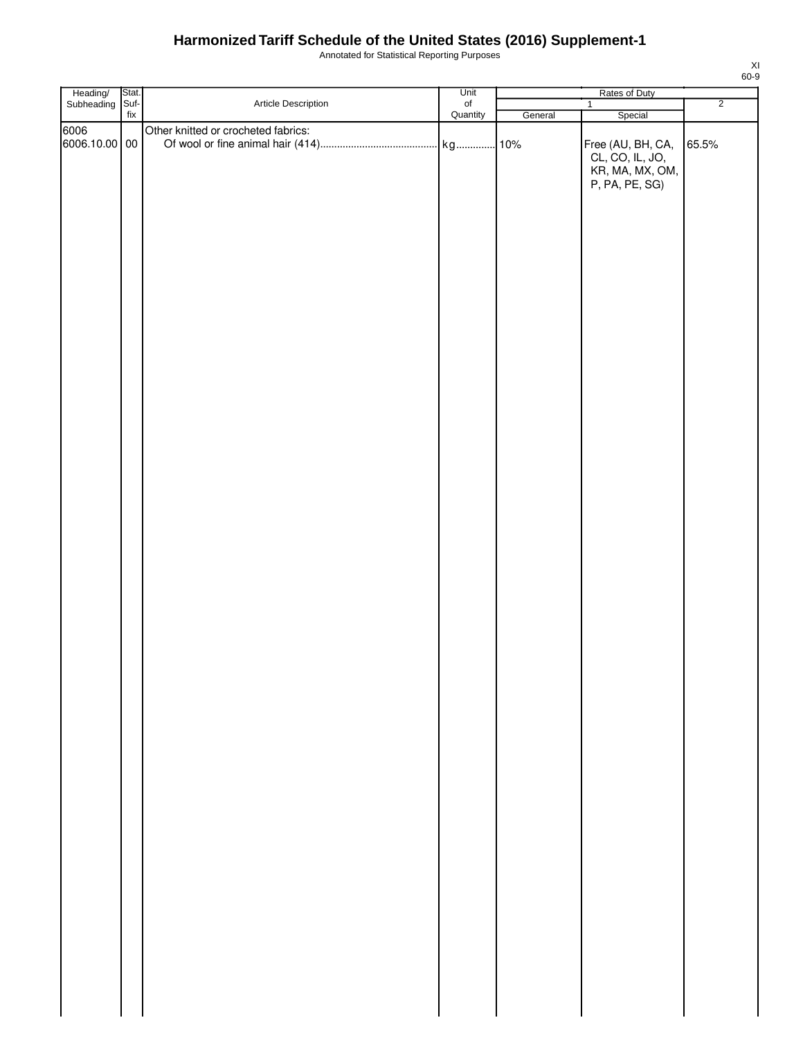Annotated for Statistical Reporting Purposes

| Heading/ Stat.<br>Subheading Suf- |                          |                                     | Unit           |         | Rates of Duty                                        |                |
|-----------------------------------|--------------------------|-------------------------------------|----------------|---------|------------------------------------------------------|----------------|
|                                   |                          | Article Description                 | of<br>Quantity |         | $\overline{1}$                                       | $\overline{2}$ |
|                                   | $\operatorname{\sf fix}$ |                                     |                | General | Special                                              |                |
| 6006                              |                          | Other knitted or crocheted fabrics: |                |         |                                                      |                |
| 6006.10.00 00                     |                          |                                     |                |         | Free (AU, BH, CA,                                    | 65.5%          |
|                                   |                          |                                     |                |         | CL, CO, IL, JO,<br>KR, MA, MX, OM,<br>P, PA, PE, SG) |                |
|                                   |                          |                                     |                |         |                                                      |                |
|                                   |                          |                                     |                |         |                                                      |                |
|                                   |                          |                                     |                |         |                                                      |                |
|                                   |                          |                                     |                |         |                                                      |                |
|                                   |                          |                                     |                |         |                                                      |                |
|                                   |                          |                                     |                |         |                                                      |                |
|                                   |                          |                                     |                |         |                                                      |                |
|                                   |                          |                                     |                |         |                                                      |                |
|                                   |                          |                                     |                |         |                                                      |                |
|                                   |                          |                                     |                |         |                                                      |                |
|                                   |                          |                                     |                |         |                                                      |                |
|                                   |                          |                                     |                |         |                                                      |                |
|                                   |                          |                                     |                |         |                                                      |                |
|                                   |                          |                                     |                |         |                                                      |                |
|                                   |                          |                                     |                |         |                                                      |                |
|                                   |                          |                                     |                |         |                                                      |                |
|                                   |                          |                                     |                |         |                                                      |                |
|                                   |                          |                                     |                |         |                                                      |                |
|                                   |                          |                                     |                |         |                                                      |                |
|                                   |                          |                                     |                |         |                                                      |                |
|                                   |                          |                                     |                |         |                                                      |                |
|                                   |                          |                                     |                |         |                                                      |                |
|                                   |                          |                                     |                |         |                                                      |                |
|                                   |                          |                                     |                |         |                                                      |                |
|                                   |                          |                                     |                |         |                                                      |                |
|                                   |                          |                                     |                |         |                                                      |                |
|                                   |                          |                                     |                |         |                                                      |                |
|                                   |                          |                                     |                |         |                                                      |                |
|                                   |                          |                                     |                |         |                                                      |                |
|                                   |                          |                                     |                |         |                                                      |                |
|                                   |                          |                                     |                |         |                                                      |                |
|                                   |                          |                                     |                |         |                                                      |                |
|                                   |                          |                                     |                |         |                                                      |                |
|                                   |                          |                                     |                |         |                                                      |                |
|                                   |                          |                                     |                |         |                                                      |                |
|                                   |                          |                                     |                |         |                                                      |                |
|                                   |                          |                                     |                |         |                                                      |                |
|                                   |                          |                                     |                |         |                                                      |                |
|                                   |                          |                                     |                |         |                                                      |                |
|                                   |                          |                                     |                |         |                                                      |                |
|                                   |                          |                                     |                |         |                                                      |                |
|                                   |                          |                                     |                |         |                                                      |                |
|                                   |                          |                                     |                |         |                                                      |                |
|                                   |                          |                                     |                |         |                                                      |                |
|                                   |                          |                                     |                |         |                                                      |                |
|                                   |                          |                                     |                |         |                                                      |                |
|                                   |                          |                                     |                |         |                                                      |                |
|                                   |                          |                                     |                |         |                                                      |                |
|                                   |                          |                                     |                |         |                                                      |                |
|                                   |                          |                                     |                |         |                                                      |                |
|                                   |                          |                                     |                |         |                                                      |                |
|                                   |                          |                                     |                |         |                                                      |                |
|                                   |                          |                                     |                |         |                                                      |                |
|                                   |                          |                                     |                |         |                                                      |                |
|                                   |                          |                                     |                |         |                                                      |                |
|                                   |                          |                                     |                |         |                                                      |                |
|                                   |                          |                                     |                |         |                                                      |                |
|                                   |                          |                                     |                |         |                                                      |                |
|                                   |                          |                                     |                |         |                                                      |                |
|                                   |                          |                                     |                |         |                                                      |                |
|                                   |                          |                                     |                |         |                                                      |                |
|                                   |                          |                                     |                |         |                                                      |                |
|                                   |                          |                                     |                |         |                                                      |                |
|                                   |                          |                                     |                |         |                                                      |                |
|                                   |                          |                                     |                |         |                                                      |                |
|                                   |                          |                                     |                |         |                                                      |                |
|                                   |                          |                                     |                |         |                                                      |                |
|                                   |                          |                                     |                |         |                                                      |                |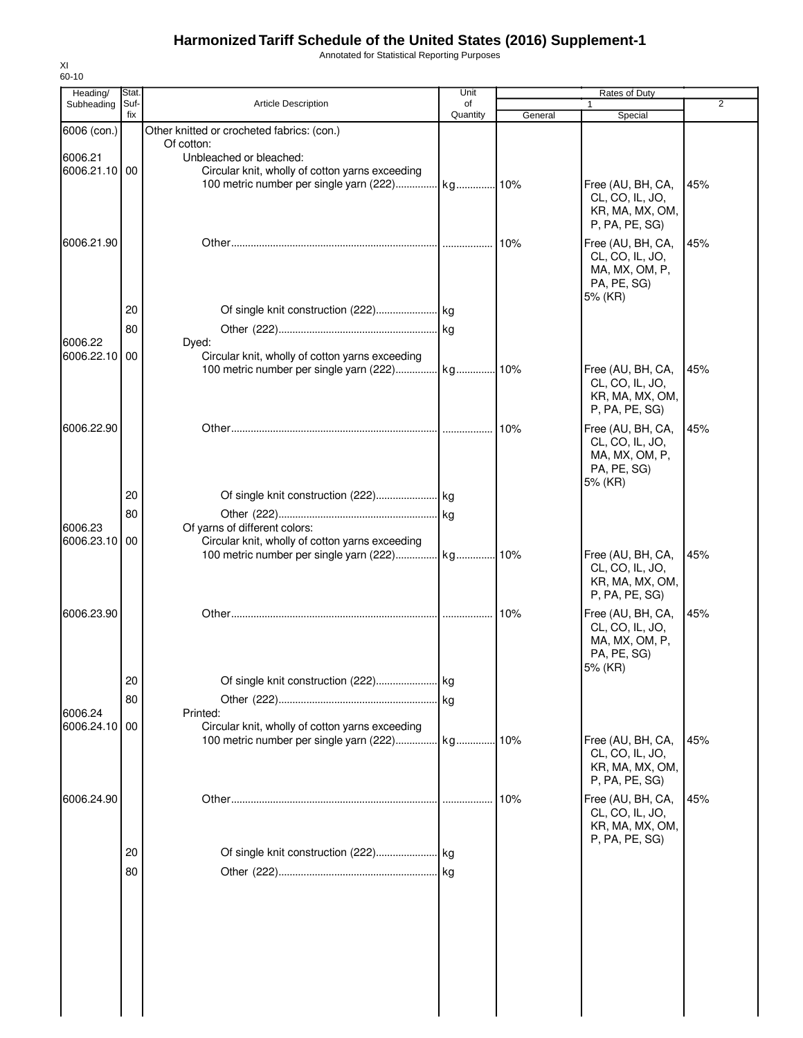Annotated for Statistical Reporting Purposes

| Heading/<br>Subheading | Stat.<br>Suf- | <b>Article Description</b>                                                                    | Unit<br>of |         | Rates of Duty                        | 2   |
|------------------------|---------------|-----------------------------------------------------------------------------------------------|------------|---------|--------------------------------------|-----|
|                        | fix           |                                                                                               | Quantity   | General | Special                              |     |
| 6006 (con.)            |               | Other knitted or crocheted fabrics: (con.)<br>Of cotton:                                      |            |         |                                      |     |
| 6006.21                |               | Unbleached or bleached:                                                                       |            |         |                                      |     |
| 6006.21.10 00          |               | Circular knit, wholly of cotton yarns exceeding                                               |            |         |                                      |     |
|                        |               |                                                                                               |            |         | Free (AU, BH, CA,                    | 45% |
|                        |               |                                                                                               |            |         | CL, CO, IL, JO,<br>KR, MA, MX, OM,   |     |
|                        |               |                                                                                               |            |         | P, PA, PE, SG)                       |     |
| 6006.21.90             |               |                                                                                               |            | 10%     | Free (AU, BH, CA,                    | 45% |
|                        |               |                                                                                               |            |         | CL, CO, IL, JO,                      |     |
|                        |               |                                                                                               |            |         | MA, MX, OM, P,                       |     |
|                        |               |                                                                                               |            |         | PA, PE, SG)<br>5% (KR)               |     |
|                        | 20            |                                                                                               |            |         |                                      |     |
|                        | 80            |                                                                                               |            |         |                                      |     |
| 6006.22                |               | Dyed:                                                                                         |            |         |                                      |     |
| 6006.22.10             | 00            | Circular knit, wholly of cotton yarns exceeding                                               |            |         |                                      |     |
|                        |               |                                                                                               |            |         | Free (AU, BH, CA,                    | 45% |
|                        |               |                                                                                               |            |         | CL, CO, IL, JO,<br>KR, MA, MX, OM,   |     |
|                        |               |                                                                                               |            |         | P, PA, PE, SG)                       |     |
| 6006.22.90             |               |                                                                                               |            | 10%     | Free (AU, BH, CA,                    | 45% |
|                        |               |                                                                                               |            |         | CL, CO, IL, JO,                      |     |
|                        |               |                                                                                               |            |         | MA, MX, OM, P,                       |     |
|                        |               |                                                                                               |            |         | PA, PE, SG)<br>5% (KR)               |     |
|                        | 20            |                                                                                               |            |         |                                      |     |
|                        | 80            |                                                                                               |            |         |                                      |     |
| 6006.23                |               | Of yarns of different colors:                                                                 |            |         |                                      |     |
| 6006.23.10 00          |               | Circular knit, wholly of cotton yarns exceeding                                               |            |         |                                      |     |
|                        |               |                                                                                               |            |         | Free (AU, BH, CA,<br>CL, CO, IL, JO, | 45% |
|                        |               |                                                                                               |            |         | KR, MA, MX, OM,                      |     |
|                        |               |                                                                                               |            |         | P, PA, PE, SG)                       |     |
| 6006.23.90             |               |                                                                                               |            | 10%     | Free (AU, BH, CA,                    | 45% |
|                        |               |                                                                                               |            |         | CL, CO, IL, JO,                      |     |
|                        |               |                                                                                               |            |         | MA, MX, OM, P,<br>PA, PE, SG)        |     |
|                        |               |                                                                                               |            |         | 5% (KR)                              |     |
|                        | 20            |                                                                                               |            |         |                                      |     |
|                        | 80            |                                                                                               |            |         |                                      |     |
| 6006.24                |               | Printed:                                                                                      |            |         |                                      |     |
| 6006.24.10 00          |               | Circular knit, wholly of cotton yarns exceeding<br>100 metric number per single yarn (222) kg |            | 10%     | Free (AU, BH, CA,                    | 45% |
|                        |               |                                                                                               |            |         | CL, CO, IL, JO,                      |     |
|                        |               |                                                                                               |            |         | KR, MA, MX, OM,                      |     |
|                        |               |                                                                                               |            |         | P, PA, PE, SG)                       |     |
| 6006.24.90             |               |                                                                                               |            | 10%     | Free (AU, BH, CA,                    | 45% |
|                        |               |                                                                                               |            |         | CL, CO, IL, JO,<br>KR, MA, MX, OM,   |     |
|                        |               |                                                                                               |            |         | P, PA, PE, SG)                       |     |
|                        | 20            |                                                                                               |            |         |                                      |     |
|                        | 80            |                                                                                               |            |         |                                      |     |
|                        |               |                                                                                               |            |         |                                      |     |
|                        |               |                                                                                               |            |         |                                      |     |
|                        |               |                                                                                               |            |         |                                      |     |
|                        |               |                                                                                               |            |         |                                      |     |
|                        |               |                                                                                               |            |         |                                      |     |
|                        |               |                                                                                               |            |         |                                      |     |
|                        |               |                                                                                               |            |         |                                      |     |
|                        |               |                                                                                               |            |         |                                      |     |
|                        |               |                                                                                               |            |         |                                      |     |

XI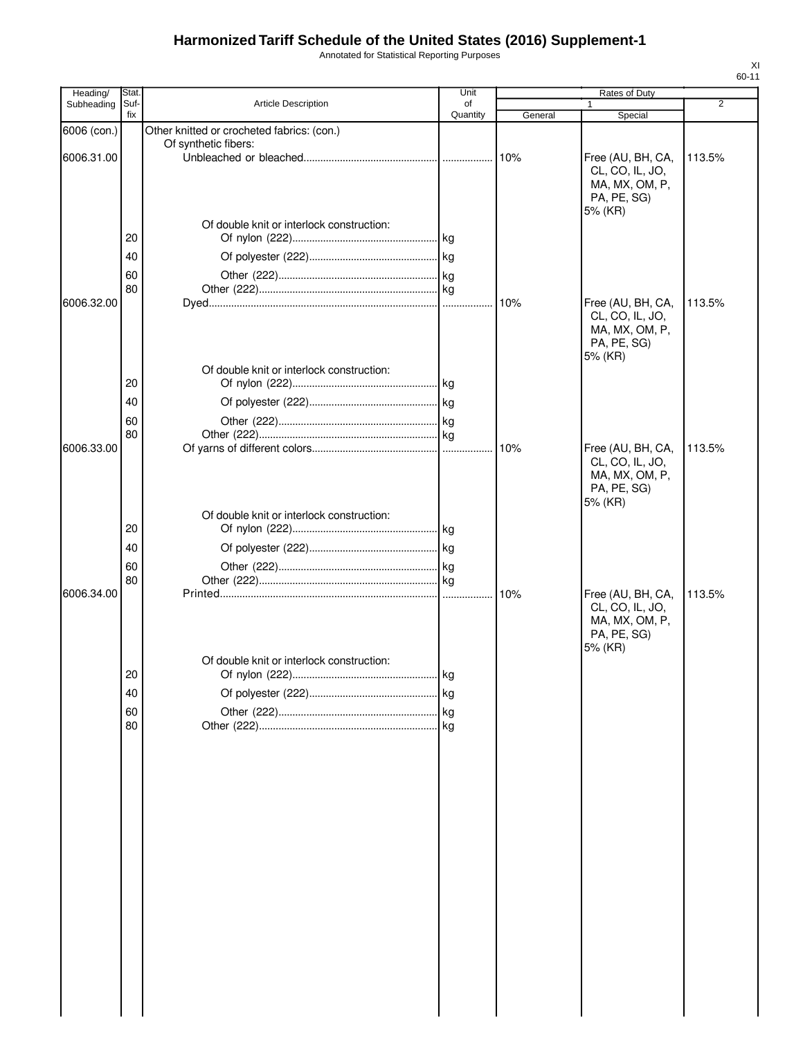Annotated for Statistical Reporting Purposes

| Heading/    | Stat |                                                                    | Unit     |         | Rates of Duty                 |        |
|-------------|------|--------------------------------------------------------------------|----------|---------|-------------------------------|--------|
| Subheading  | Suf- | <b>Article Description</b>                                         | of       |         | 1                             | 2      |
|             | fix  |                                                                    | Quantity | General | Special                       |        |
| 6006 (con.) |      | Other knitted or crocheted fabrics: (con.)<br>Of synthetic fibers: |          |         |                               |        |
| 6006.31.00  |      |                                                                    |          | 10%     | Free (AU, BH, CA,             | 113.5% |
|             |      |                                                                    |          |         | CL, CO, IL, JO,               |        |
|             |      |                                                                    |          |         | MA, MX, OM, P,                |        |
|             |      |                                                                    |          |         | PA, PE, SG)<br>5% (KR)        |        |
|             |      | Of double knit or interlock construction:                          |          |         |                               |        |
|             | 20   |                                                                    |          |         |                               |        |
|             | 40   |                                                                    |          |         |                               |        |
|             | 60   |                                                                    |          |         |                               |        |
|             | 80   |                                                                    |          |         |                               |        |
| 6006.32.00  |      |                                                                    |          |         | Free (AU, BH, CA,             | 113.5% |
|             |      |                                                                    |          |         | CL, CO, IL, JO,               |        |
|             |      |                                                                    |          |         | MA, MX, OM, P,                |        |
|             |      |                                                                    |          |         | PA, PE, SG)<br>5% (KR)        |        |
|             |      | Of double knit or interlock construction:                          |          |         |                               |        |
|             | 20   |                                                                    |          |         |                               |        |
|             | 40   |                                                                    |          |         |                               |        |
|             | 60   |                                                                    |          |         |                               |        |
|             | 80   |                                                                    |          |         |                               |        |
| 6006.33.00  |      |                                                                    |          |         | Free (AU, BH, CA,             | 113.5% |
|             |      |                                                                    |          |         | CL, CO, IL, JO,               |        |
|             |      |                                                                    |          |         | MA, MX, OM, P,                |        |
|             |      |                                                                    |          |         | PA, PE, SG)<br>5% (KR)        |        |
|             |      | Of double knit or interlock construction:                          |          |         |                               |        |
|             | 20   |                                                                    |          |         |                               |        |
|             | 40   |                                                                    |          |         |                               |        |
|             | 60   |                                                                    |          |         |                               |        |
|             | 80   |                                                                    |          |         |                               |        |
| 6006.34.00  |      |                                                                    |          | 10%     | Free (AU, BH, CA,             | 113.5% |
|             |      |                                                                    |          |         | CL, CO, IL, JO,               |        |
|             |      |                                                                    |          |         | MA, MX, OM, P,<br>PA, PE, SG) |        |
|             |      |                                                                    |          |         | 5% (KR)                       |        |
|             |      | Of double knit or interlock construction:                          |          |         |                               |        |
|             | 20   |                                                                    |          |         |                               |        |
|             | 40   |                                                                    |          |         |                               |        |
|             | 60   |                                                                    |          |         |                               |        |
|             | 80   |                                                                    |          |         |                               |        |
|             |      |                                                                    |          |         |                               |        |
|             |      |                                                                    |          |         |                               |        |
|             |      |                                                                    |          |         |                               |        |
|             |      |                                                                    |          |         |                               |        |
|             |      |                                                                    |          |         |                               |        |
|             |      |                                                                    |          |         |                               |        |
|             |      |                                                                    |          |         |                               |        |
|             |      |                                                                    |          |         |                               |        |
|             |      |                                                                    |          |         |                               |        |
|             |      |                                                                    |          |         |                               |        |
|             |      |                                                                    |          |         |                               |        |
|             |      |                                                                    |          |         |                               |        |
|             |      |                                                                    |          |         |                               |        |
|             |      |                                                                    |          |         |                               |        |
|             |      |                                                                    |          |         |                               |        |
|             |      |                                                                    |          |         |                               |        |
|             |      |                                                                    |          |         |                               |        |
|             |      |                                                                    |          |         |                               |        |